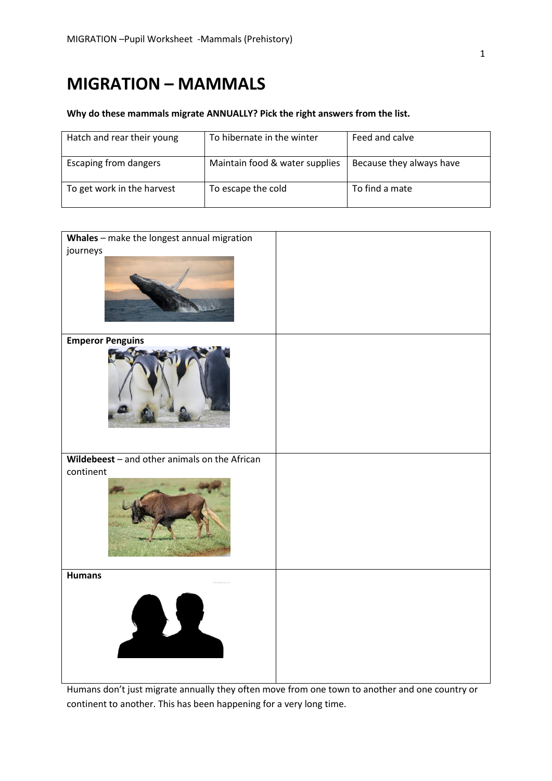## **MIGRATION – MAMMALS**

## **Why do these mammals migrate ANNUALLY? Pick the right answers from the list.**

| Hatch and rear their young   | To hibernate in the winter     | Feed and calve           |
|------------------------------|--------------------------------|--------------------------|
| <b>Escaping from dangers</b> | Maintain food & water supplies | Because they always have |
| To get work in the harvest   | To escape the cold             | To find a mate           |

| Whales - make the longest annual migration    |  |
|-----------------------------------------------|--|
| journeys                                      |  |
|                                               |  |
| <b>Emperor Penguins</b>                       |  |
|                                               |  |
| Wildebeest - and other animals on the African |  |
| continent                                     |  |
|                                               |  |
| <b>Humans</b>                                 |  |
|                                               |  |

Humans don't just migrate annually they often move from one town to another and one country or continent to another. This has been happening for a very long time.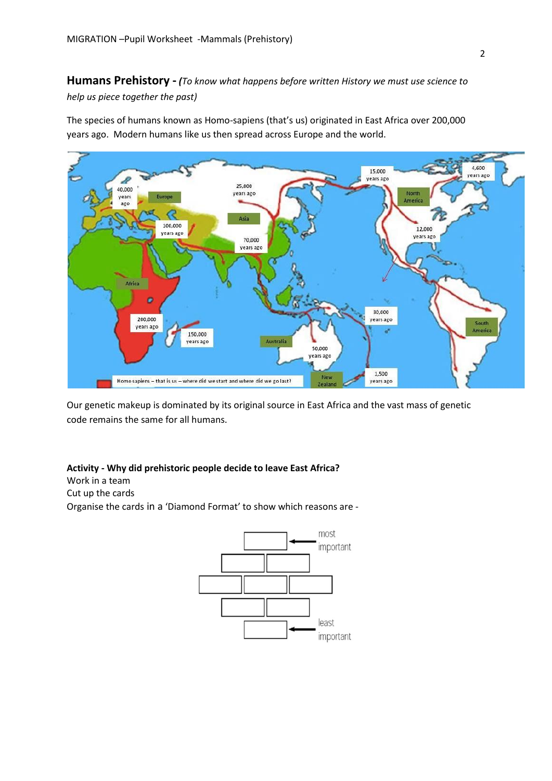**Humans Prehistory -** *(To know what happens before written History we must use science to help us piece together the past)* 

The species of humans known as Homo-sapiens (that's us) originated in East Africa over 200,000 years ago. Modern humans like us then spread across Europe and the world.



Our genetic makeup is dominated by its original source in East Africa and the vast mass of genetic code remains the same for all humans.

## **Activity - Why did prehistoric people decide to leave East Africa?**

Work in a team

Cut up the cards

Organise the cards in a 'Diamond Format' to show which reasons are -